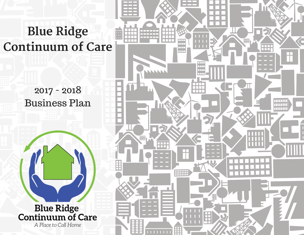# **Blue Ridge Continuum of Care**

2017 - 2018 Business Plan



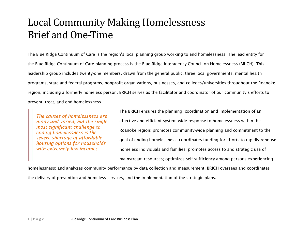# Local Community Making Homelessness Brief and One-Time

The Blue Ridge Continuum of Care is the region's local planning group working to end homelessness. The lead entity for the Blue Ridge Continuum of Care planning process is the Blue Ridge Interagency Council on Homelessness (BRICH). This leadership group includes twenty-one members, drawn from the general public, three local governments, mental health programs, state and federal programs, nonprofit organizations, businesses, and colleges/universities throughout the Roanoke region, including a formerly homeless person. BRICH serves as the facilitator and coordinator of our community's efforts to prevent, treat, and end homelessness.

*The causes of homelessness are many and varied, but the single most significant challenge to ending homelessness is the severe shortage of affordable housing options for households with extremely low incomes.*

The BRICH ensures the planning, coordination and implementation of an effective and efficient system-wide response to homelessness within the Roanoke region; promotes community-wide planning and commitment to the goal of ending homelessness; coordinates funding for efforts to rapidly rehouse homeless individuals and families; promotes access to and strategic use of mainstream resources; optimizes self-sufficiency among persons experiencing

homelessness; and analyzes community performance by data collection and measurement. BRICH oversees and coordinates the delivery of prevention and homeless services, and the implementation of the strategic plans.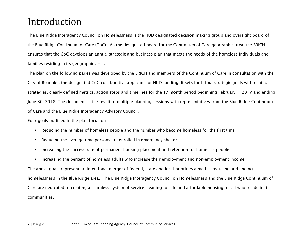# Introduction

The Blue Ridge Interagency Council on Homelessness is the HUD designated decision making group and oversight board of the Blue Ridge Continuum of Care (CoC). As the designated board for the Continuum of Care geographic area, the BRICH ensures that the CoC develops an annual strategic and business plan that meets the needs of the homeless individuals and families residing in its geographic area.

The plan on the following pages was developed by the BRICH and members of the Continuum of Care in consultation with the City of Roanoke, the designated CoC collaborative applicant for HUD funding. It sets forth four strategic goals with related strategies, clearly defined metrics, action steps and timelines for the 17 month period beginning February 1, 2017 and ending June 30, 2018. The document is the result of multiple planning sessions with representatives from the Blue Ridge Continuum of Care and the Blue Ridge Interagency Advisory Council.

Four goals outlined in the plan focus on:

- Reducing the number of homeless people and the number who become homeless for the first time
- Reducing the average time persons are enrolled in emergency shelter
- Increasing the success rate of permanent housing placement and retention for homeless people
- Increasing the percent of homeless adults who increase their employment and non-employment income

The above goals represent an intentional merger of federal, state and local priorities aimed at reducing and ending homelessness in the Blue Ridge area. The Blue Ridge Interagency Council on Homelessness and the Blue Ridge Continuum of Care are dedicated to creating a seamless system of services leading to safe and affordable housing for all who reside in its communities.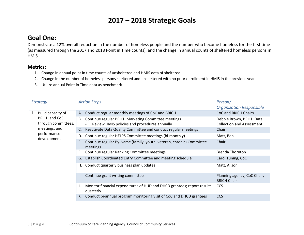## **2017 – 2018 Strategic Goals**

#### **Goal One:**

Demonstrate a 12% overall reduction in the number of homeless people and the number who become homeless for the first time (as measured through the 2017 and 2018 Point in Time counts), and the change in annual counts of sheltered homeless persons in **HMIS** 

#### **Metrics:**

- 1. Change in annual point in time counts of unsheltered and HMIS data of sheltered
- 2. Change in the number of homeless persons sheltered and unsheltered with no prior enrollment in HMIS in the previous year
- 3. Utilize annual Point in Time data as benchmark

| <b>Strategy</b>                             | <b>Action Steps</b>                                                                                       | Person/                                                      |
|---------------------------------------------|-----------------------------------------------------------------------------------------------------------|--------------------------------------------------------------|
|                                             |                                                                                                           | <b>Organization Responsible</b>                              |
| Build capacity of<br>1.                     | Conduct regular monthly meetings of CoC and BRICH<br>А.                                                   | CoC and BRICH Chairs                                         |
| <b>BRICH and CoC</b><br>through committees, | Continue regular BRICH Marketing Committee meetings<br>В.<br>Review HMIS policies and procedures annually | Debbie Brown, BRICH Data<br><b>Collection and Assessment</b> |
| meetings, and                               | Reactivate Data Quality Committee and conduct regular meetings<br>C.                                      | Chair                                                        |
| performance                                 | Continue regular HELPS Committee meetings (bi-monthly)<br>D.                                              | Matt, Ben                                                    |
| development                                 | Continue regular By-Name (family, youth, veteran, chronic) Committee<br>Ε.<br>meetings                    | Chair                                                        |
|                                             | Continue regular Ranking Committee meetings<br>F.                                                         | <b>Brenda Thornton</b>                                       |
|                                             | Establish Coordinated Entry Committee and meeting schedule<br>G.                                          | Carol Tuning, CoC                                            |
|                                             | Conduct quarterly business plan updates<br>Н.                                                             | Matt, Alison                                                 |
|                                             | Continue grant writing committee                                                                          | Planning agency, CoC Chair,<br><b>BRICH Chair</b>            |
|                                             | Monitor financial expenditures of HUD and DHCD grantees; report results<br>quarterly                      | <b>CCS</b>                                                   |
|                                             | Conduct bi-annual program monitoring visit of CoC and DHCD grantees                                       | <b>CCS</b>                                                   |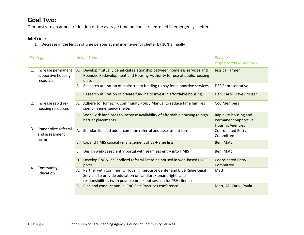#### **Goal Two:**

Demonstrate an annual reduction of the average time persons are enrolled in emergency shelter

#### **Metrics:**

1. Decrease in the length of time persons spend in emergency shelter by 10% annually

|                 | <b>Strategy</b>                                       | <b>Action Steps</b>                                                                                                                                                                                         | Person/<br><b>Organization Responsible</b>                                     |
|-----------------|-------------------------------------------------------|-------------------------------------------------------------------------------------------------------------------------------------------------------------------------------------------------------------|--------------------------------------------------------------------------------|
| 1.              | Increase permanent<br>supportive housing<br>resources | Develop mutually beneficial relationship between homeless services and<br>A.<br>Roanoke Redevelopment and Housing Authority for use of public housing<br>units                                              | Jessica Farmer                                                                 |
|                 |                                                       | Research utilization of mainstream funding to pay for supportive services<br>В.                                                                                                                             | <b>DSS Representative</b>                                                      |
|                 |                                                       | Research utilization of private funding to invest in affordable housing<br>C.                                                                                                                               | Dan, Carol, Dave Prosser                                                       |
| 2.              | Increase rapid re-<br>housing resources               | A. Adhere to HomeLink Community Policy Manual to reduce time families<br>spend in emergency shelter                                                                                                         | <b>CoC Members</b>                                                             |
|                 |                                                       | Work with landlords to increase availability of affordable housing to high<br>B.<br>barrier placements                                                                                                      | Rapid Re-housing and<br><b>Permanent Supportive</b><br><b>Housing Agencies</b> |
| 3.              | Standardize referral<br>and assessment                | A. Standardize and adopt common referral and assessment forms                                                                                                                                               | <b>Coordinated Entry</b><br>Committee                                          |
|                 | forms                                                 | Expand HMIS capacity management of By-Name lists<br><b>B.</b>                                                                                                                                               | Ben, Matt                                                                      |
|                 |                                                       | Design web-based entry portal with seamless entry into HMIS<br>C.                                                                                                                                           | Ben, Matt                                                                      |
| Community<br>4. |                                                       | D. Develop CoC-wide landlord referral list to be housed in web-based HMIS<br>portal                                                                                                                         | <b>Coordinated Entry</b><br>Committee                                          |
|                 | Education                                             | A. Partner with Community Housing Resource Center and Blue Ridge Legal<br>Services to provide education on landlord/tenant rights and<br>responsibilities (with possible break out session for PSH clients) | Matt                                                                           |
|                 |                                                       | Plan and conduct annual CoC Best Practices conference<br>B <sub>1</sub>                                                                                                                                     | Matt, Ali, Carol, Paula                                                        |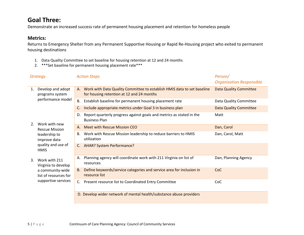#### **Goal Three:**

Demonstrate an increased success rate of permanent housing placement and retention for homeless people

#### **Metrics:**

Returns to Emergency Shelter from any Permanent Supportive Housing or Rapid Re-Housing project who exited to permanent housing destinations

- 1. Data Quality Committee to set baseline for housing retention at 12 and 24 months
- 2. \*\*\*Set baseline for permanent housing placement rate\*\*\*

|                | <b>Strategy</b>                           |    | <b>Action Steps</b>                                                                                                     | Person/<br><b>Organization Responsible</b> |
|----------------|-------------------------------------------|----|-------------------------------------------------------------------------------------------------------------------------|--------------------------------------------|
| 1.             | Develop and adopt<br>programs system      |    | A. Work with Data Quality Committee to establish HMIS data to set baseline<br>for housing retention at 12 and 24 months | <b>Data Quality Committee</b>              |
|                | performance model                         | В. | Establish baseline for permanent housing placement rate                                                                 | Data Quality Committee                     |
|                |                                           | C. | Include appropriate metrics under Goal 3 in business plan                                                               | <b>Data Quality Committee</b>              |
|                |                                           | D. | Report quarterly progress against goals and metrics as stated in the<br><b>Business Plan</b>                            | Matt                                       |
| 2 <sub>1</sub> | Work with new<br><b>Rescue Mission</b>    | A. | Meet with Rescue Mission CEO                                                                                            | Dan, Carol                                 |
|                | leadership to<br>improve data             | В. | Work with Rescue Mission leadership to reduce barriers to HMIS<br>utilization                                           | Dan, Carol, Matt                           |
|                | quality and use of<br><b>HMIS</b>         |    | C. AHAR? System Performance?                                                                                            |                                            |
| 3.             | Work with 211<br>Virginia to develop      | А. | Planning agency will coordinate work with 211 Virginia on list of<br>resources                                          | Dan, Planning Agency                       |
|                | a community-wide<br>list of resources for | B. | Define keywords/service categories and service area for inclusion in<br>resource list                                   | CoC                                        |
|                | supportive services                       |    | C. Present resource list to Coordinated Entry Committee                                                                 | CoC                                        |
|                |                                           |    | D. Develop wider network of mental health/substance abuse providers                                                     |                                            |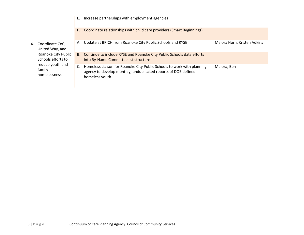|        |                                           | F. | Coordinate relationships with child care providers (Smart Beginnings)                                                                                      |                             |
|--------|-------------------------------------------|----|------------------------------------------------------------------------------------------------------------------------------------------------------------|-----------------------------|
|        | 4. Coordinate CoC,<br>United Way, and     | А. | Update at BRICH from Roanoke City Public Schools and RYSE                                                                                                  | Malora Horn, Kristen Adkins |
| family | Roanoke City Public<br>Schools efforts to |    | B. Continue to include RYSE and Roanoke City Public Schools data efforts<br>into By-Name Committee list structure                                          |                             |
|        | reduce youth and<br>homelessness          |    | Homeless Liaison for Roanoke City Public Schools to work with planning<br>agency to develop monthly, unduplicated reports of DOE defined<br>homeless youth | Malora, Ben                 |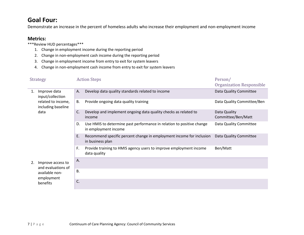#### **Goal Four:**

Demonstrate an increase in the percent of homeless adults who increase their employment and non-employment income

#### **Metrics:**

- \*\*\*Review HUD percentages\*\*\*
	- 1. Change in employment income during the reporting period
	- 2. Change in non-employment cash income during the reporting period
	- 3. Change in employment income from entry to exit for system leavers
	- 4. Change in non-employment cash income from entry to exit for system leavers

|    | <b>Strategy</b>                                                                      |           | <b>Action Steps</b>                                                                           | Person/<br>Organization Responsible |
|----|--------------------------------------------------------------------------------------|-----------|-----------------------------------------------------------------------------------------------|-------------------------------------|
| 1. | Improve data<br>input/collection<br>related to income,<br>including baseline<br>data | А.        | Develop data quality standards related to income                                              | Data Quality Committee              |
|    |                                                                                      | <b>B.</b> | Provide ongoing data quality training                                                         | Data Quality Committee/Ben          |
|    |                                                                                      | C.        | Develop and implement ongoing data quality checks as related to<br>income                     | Data Quality<br>Committee/Ben/Matt  |
|    |                                                                                      | D.        | Use HMIS to determine past performance in relation to positive change<br>in employment income | Data Quality Committee              |
|    |                                                                                      | E.        | Recommend specific percent change in employment income for inclusion<br>in business plan      | Data Quality Committee              |
|    |                                                                                      | F.        | Provide training to HMIS agency users to improve employment income<br>data quality            | Ben/Matt                            |
| 2. | Improve access to<br>and evaluations of<br>available non-<br>employment<br>benefits  | Α.        |                                                                                               |                                     |
|    |                                                                                      | В.        |                                                                                               |                                     |
|    |                                                                                      | C.        |                                                                                               |                                     |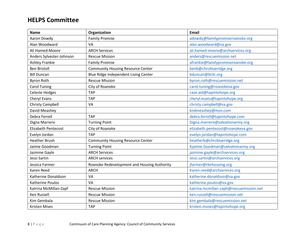#### **HELPS Committee**

| <b>Name</b>                | Organization                                | <b>Email</b>                            |
|----------------------------|---------------------------------------------|-----------------------------------------|
| Aaron Dowdy                | <b>Family Promise</b>                       | adowdy@familypromiseroanoke.org         |
| Alan Woodward              | <b>VA</b>                                   | alan.woodward@va.gov                    |
| Ali Hamed-Moore            | <b>ARCH Services</b>                        | ali.hamed-moore@archservices.org        |
| Anders Sylvester-Johnson   | <b>Rescue Mission</b>                       | anders@rescuemission.net                |
| Ashley Frankie             | <b>Family Promise</b>                       | afrankie@familypromiseroanoke.org       |
| <b>Ben Bristoll</b>        | <b>Community Housing Resource Center</b>    | benb@chrcblueridge.org                  |
| <b>Bill Duncan</b>         | Blue Ridge Independent Living Center        | bduncan@brilc.org                       |
| <b>Byron Roth</b>          | <b>Rescue Mission</b>                       | byron.roth@rescuemission.net            |
| <b>Carol Tuning</b>        | City of Roanoke                             | carol.tuning@roanokeva.gov              |
| <b>Celeste Hodges</b>      | <b>TAP</b>                                  | case.aid@tapintohope.org                |
| Cheryl Evans               | <b>TAP</b>                                  | cheryl.evans@tapintohope.org            |
| Christy Campbell           | VA                                          | christy.campbell@va.gov                 |
| David Meashey              |                                             | kndmeashey@msn.com                      |
| <b>Debra Ferrell</b>       | <b>TAP</b>                                  | debra.ferrell@tapintohope.com           |
| Digna Marrero              | <b>Turning Point</b>                        | Digna.marrero@salvationarmy.org         |
| <b>Elizabeth Pentecost</b> | City of Roanoke                             | elizabeth.pentecost@roanokeva.gov       |
| Evelyn Jordan              | <b>TAP</b>                                  | evelyn.jordan@tapintohope.com           |
| <b>Heather Brush</b>       | <b>Community Housing Resource Center</b>    | heatherb@chrcblueridge.org              |
| Jaimie Goodman             | <b>Turning Point</b>                        | Kjaimie.Goodman@salvationarmy.org       |
| Jazmine Gayle              | <b>ARCH Services</b>                        | jazmine.gayle@archservices.org          |
| Jessi Sartin               | <b>ARCH services</b>                        | Jessi.sartin@archservices.org           |
| Jessica Farmer             | Roanoke Redevelopment and Housing Authority | jfarmer@rkehousing.org                  |
| <b>Karen Reed</b>          | <b>ARCH</b>                                 | Karen.reed@archservices.org             |
| Katherine Donaldson        | VA                                          | katherine.donaldson@va.gov              |
| Katherine Poulos           | VA                                          | katherine.poulos@va.gov                 |
| Katrina McMillan-Zapf      | <b>Rescue Mission</b>                       | katrina.mcmillan-zaph@rescuemission.net |
| Ken Russell                | <b>Rescue Mission</b>                       | ken.russell@rescuemission.net           |
| Kim Gembala                | <b>Rescue Mission</b>                       | kim.gembala@rescuemission.net           |
| <b>Kristen Mises</b>       | <b>TAP</b>                                  | kristen.moses@tapintohope.org           |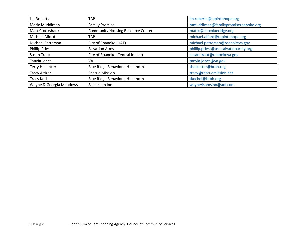| Lin Roberts              | <b>TAP</b>                               | lin.roberts@tapintohope.org          |
|--------------------------|------------------------------------------|--------------------------------------|
| Marie Muddiman           | <b>Family Promise</b>                    | mmuddiman@familypromiseroanoke.org   |
| <b>Matt Crookshank</b>   | <b>Community Housing Resource Center</b> | mattc@chrcblueridge.org              |
| Michael Alford           | <b>TAP</b>                               | michael.alford@tapintohope.org       |
| <b>Michael Patterson</b> | City of Roanoke (HAT)                    | michael.patterson@roanokeva.gov      |
| <b>Phillip Priest</b>    | Salvation Army                           | phillip.priest@uss.salvationarmy.org |
| Susan Trout              | City of Roanoke (Central Intake)         | susan.trout@roanokeva.gov            |
| Tanyia Jones             | VA                                       | tanyia.jones@va.gov                  |
| <b>Terry Hostetter</b>   | Blue Ridge Behavioral Healthcare         | thostetter@brbh.org                  |
| <b>Tracy Altizer</b>     | <b>Rescue Mission</b>                    | tracy@rescuemission.net              |
| Tracy Kochel             | Blue Ridge Behavioral Healthcare         | tkochel@brbh.org                     |
| Wayne & Georgia Meadows  | Samaritan Inn                            | wayne4samsinn@aol.com                |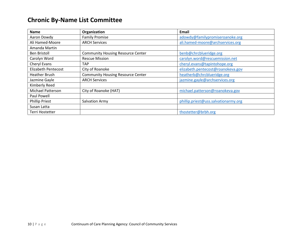#### **Chronic By-Name List Committee**

| <b>Name</b>                | Organization                             | Email                                |
|----------------------------|------------------------------------------|--------------------------------------|
| Aaron Dowdy                | <b>Family Promise</b>                    | adowdy@familypromiseroanoke.org      |
| Ali Hamed-Moore            | <b>ARCH Services</b>                     | ali.hamed-moore@archservices.org     |
| Amanda Martin              |                                          |                                      |
| <b>Ben Bristoll</b>        | <b>Community Housing Resource Center</b> | benb@chrcblueridge.org               |
| Carolyn Word               | <b>Rescue Mission</b>                    | carolyn.word@rescuemission.net       |
| Cheryl Evans               | <b>TAP</b>                               | cheryl.evans@tapintohope.org         |
| <b>Elizabeth Pentecost</b> | City of Roanoke                          | elizabeth.pentecost@roanokeva.gov    |
| <b>Heather Brush</b>       | <b>Community Housing Resource Center</b> | heatherb@chrcblueridge.org           |
| Jazmine Gayle              | <b>ARCH Services</b>                     | jazmine.gayle@archservices.org       |
| Kimberly Reed              |                                          |                                      |
| <b>Michael Patterson</b>   | City of Roanoke (HAT)                    | michael.patterson@roanokeva.gov      |
| Paul Powell                |                                          |                                      |
| <b>Phillip Priest</b>      | Salvation Army                           | phillip.priest@uss.salvationarmy.org |
| Susan Latta                |                                          |                                      |
| Terri Hostetter            |                                          | thostetter@brbh.org                  |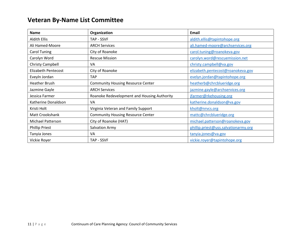#### **Veteran By-Name List Committee**

| <b>Name</b>              | Organization                                | Email                                |
|--------------------------|---------------------------------------------|--------------------------------------|
| <b>Aldith Ellis</b>      | TAP - SSVF                                  | aldith.ellis@tapintohope.org         |
| Ali Hamed-Moore          | <b>ARCH Services</b>                        | ali.hamed-moore@archservices.org     |
| Carol Tuning             | City of Roanoke                             | carol.tuning@roanokeva.gov           |
| Carolyn Word             | <b>Rescue Mission</b>                       | carolyn.word@rescuemission.net       |
| <b>Christy Campbell</b>  | VA                                          | christy.campbell@va.gov              |
| Elizabeth Pentecost      | City of Roanoke                             | elizabeth.pentecost@roanokeva.gov    |
| Eveyln Jordan            | <b>TAP</b>                                  | evelyn.jordan@tapintohope.org        |
| <b>Heather Brush</b>     | <b>Community Housing Resource Center</b>    | heatherb@chrcblueridge.org           |
| Jazmine Gayle            | <b>ARCH Services</b>                        | jazmine.gayle@archservices.org       |
| Jessica Farmer           | Roanoke Redevelopment and Housing Authority | jfarmer@rkehousing.org               |
| Katherine Donaldson      | VA                                          | katherine.donaldson@va.gov           |
| Kristi Holt              | Virginia Veteran and Family Support         | kholt@nrvcs.org                      |
| Matt Crookshank          | <b>Community Housing Resource Center</b>    | mattc@chrcblueridge.org              |
| <b>Michael Patterson</b> | City of Roanoke (HAT)                       | michael.patterson@roanokeva.gov      |
| <b>Phillip Priest</b>    | Salvation Army                              | phillip.priest@uss.salvationarmy.org |
| Tanyia Jones             | VA                                          | tanyia.jones@va.gov                  |
| Vickie Royer             | TAP - SSVF                                  | vickie.royer@tapintohope.org         |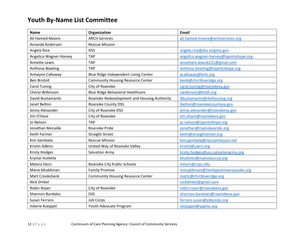### **Youth By-Name List Committee**

| <b>Name</b>             | Organization                                | <b>Email</b>                           |
|-------------------------|---------------------------------------------|----------------------------------------|
| Ali Hamed-Moore         | <b>ARCH Services</b>                        | ali.hamed-moore@archservices.org       |
| Amanda Anderson         | <b>Rescue Mission</b>                       |                                        |
| Angela Rice             | <b>DSS</b>                                  | angela.rice@dss.virginia.gov           |
| Angelica Wagner-Harvey  | <b>TAP</b>                                  | angelica.wagner-harvey@tapintohope.org |
| <b>Annette Lewis</b>    | <b>TAP</b>                                  | annettem.lewis6221@gmail.com           |
| Anthony Bowling         | <b>TAP</b>                                  | anthony.bowling@tapintohope.org        |
| Antwyne Calloway        | Blue Ridge Independent Living Center        | acalloway@brilc.org                    |
| <b>Ben Bristoll</b>     | <b>Community Housing Resource Center</b>    | benb@chrcblueridge.org                 |
| <b>Carol Tuning</b>     | City of Roanoke                             | carol.tuning@roanokeva.gov             |
| Cheryl Wilkinson        | Blue Ridge Behavioral Healthcare            | cwilkinson@brbh.org                    |
| David Bustamante        | Roanoke Redevelopment and Housing Authority | dbustamante@rkehousing.org             |
| Janet Belton            | Roanoke County DSS                          | jbelton@roanokecountyva.gov            |
| Jenny Alexander         | City of Roanoke DSS                         | jenny.alexander@roanokeva.gov          |
| Jim O'Hare              | City of Roanoke                             | jim.ohare@roanokeva.gov                |
| Jo Nelson               | <b>TAP</b>                                  | jo.nelson@tapintohope.org              |
| Jonathan Moralde        | Roanoke Pride                               | jonathan@roanokepride.org              |
| Keith Farmer            | <b>Straight Street</b>                      | keith@straightstreet.org               |
| Kim Gembala             | <b>Rescue Mission</b>                       | kim.gembala@rescuemission.net          |
| Kristin Adkins          | United Way of Roanoke Valley                | kristin@uwrv.org                       |
| <b>Kristy Hodges</b>    | <b>Salvation Army</b>                       | kristy.hodges@uss.salvationarmy.org    |
| Krystal Hullette        |                                             | khullette@roanokecccp.org              |
| Malora Horn             | Roanoke City Public Schools                 | mhorn@rcps.info                        |
| Marie Muddiman          | <b>Family Promise</b>                       | mmuddiman@familypromiseroanoke.org     |
| Matt Crookshank         | <b>Community Housing Resource Center</b>    | mattc@chrcblueridge.org                |
| Nick Dinkel             |                                             | nickdinkel@gmail.com                   |
| Robin Royer             | City of Roanoke                             | robin.royer@roanokeva.gov              |
| <b>Shannon Bardales</b> | <b>DSS</b>                                  | shannon.bardales@roanokeva.gov         |
| Susan Ferraro           | <b>Job Corps</b>                            | ferraro.susan@jobcorps.org             |
| Valerie Koeppel         | Youth Advocate Program                      | vkoeppel@yapinc.org                    |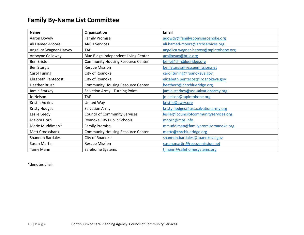#### **Family By-Name List Committee**

| <b>Name</b>                | Organization                             | Email                                  |
|----------------------------|------------------------------------------|----------------------------------------|
| Aaron Dowdy                | <b>Family Promise</b>                    | adowdy@familyrpomiseroanoke.org        |
| Ali Hamed-Moore            | <b>ARCH Services</b>                     | ali.hamed-moore@archservices.org       |
| Angelica Wagner-Harvey     | <b>TAP</b>                               | angelica.wagner-harvey@tapintohope.org |
| Antwyne Calloway           | Blue Ridge Independent Living Center     | acalloway@brilc.org                    |
| <b>Ben Bristoll</b>        | <b>Community Housing Resource Center</b> | benb@chrcblueridge.org                 |
| <b>Ben Sturgis</b>         | <b>Rescue Mission</b>                    | ben.sturgis@rescuemission.net          |
| Carol Tuning               | City of Roanoke                          | carol.tuning@roanokeva.gov             |
| <b>Elizabeth Pentecost</b> | City of Roanoke                          | elizabeth.pentecost@roanokeva.gov      |
| <b>Heather Brush</b>       | <b>Community Housing Resource Center</b> | heatherb@chrcblueridge.org             |
| Jamie Starkey              | Salvation Army - Turning Point           | jamie.starkey@uss.salvationarmy.org    |
| Jo Nelson                  | <b>TAP</b>                               | jo.nelson@tapintohope.org              |
| Kristin Adkins             | United Way                               | kristin@uwrv.org                       |
| Kristy Hodges              | <b>Salvation Army</b>                    | kristy.hodges@uss.salvationarmy.org    |
| Leslie Leedy               | <b>Council of Community Services</b>     | lesliel@councilofcommunityservices.org |
| Malora Horn                | Roanoke City Public Schools              | mhorn@rcps.info                        |
| Marie Muddiman*            | <b>Family Promise</b>                    | mmuddiman@familypromiseroanoke.org     |
| Matt Crookshank            | <b>Community Housing Resource Center</b> | mattc@chrcblueridge.org                |
| <b>Shannon Bardales</b>    | City of Roanoke                          | shannon.bardales@roanokeva.gov         |
| <b>Susan Martin</b>        | <b>Rescue Mission</b>                    | susan.martin@rescuemission.net         |
| <b>Tamy Mann</b>           | Safehome Systems                         | tjmann@safehomesystems.org             |

\*denotes chair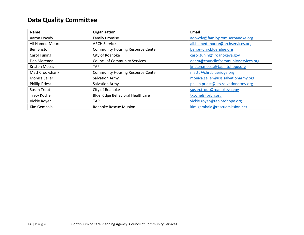### **Data Quality Committee**

| <b>Name</b>           | Organization                             | Email                                |
|-----------------------|------------------------------------------|--------------------------------------|
| Aaron Dowdy           | <b>Family Promise</b>                    | adowdy@familypromiseroanoke.org      |
| Ali Hamed-Moore       | <b>ARCH Services</b>                     | ali.hamed-moore@archservices.org     |
| <b>Ben Bristoll</b>   | <b>Community Housing Resource Center</b> | benb@chrcblueridge.org               |
| <b>Carol Tuning</b>   | City of Roanoke                          | carol.tuning@roanokeva.gov           |
| Dan Merenda           | <b>Council of Community Services</b>     | danm@councilofcommunityservices.org  |
| <b>Kristen Moses</b>  | <b>TAP</b>                               | kristen.moses@tapintohope.org        |
| Matt Crookshank       | <b>Community Housing Resource Center</b> | mattc@chrcblueridge.org              |
| Monica Seiler         | <b>Salvation Army</b>                    | monica.seiler@uss.salvationarmy.org  |
| <b>Phillip Priest</b> | Salvation Army                           | phillip.priest@uss.salvationarmy.org |
| <b>Susan Trout</b>    | City of Roanoke                          | susan.trout@roanokeva.gov            |
| <b>Tracy Kochel</b>   | Blue Ridge Behavioral Healthcare         | tkochel@brbh.org                     |
| Vickie Royer          | <b>TAP</b>                               | vickie.royer@tapintohope.org         |
| Kim Gembala           | Roanoke Rescue Mission                   | kim.gembala@rescuemission.net        |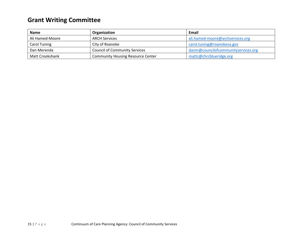## **Grant Writing Committee**

| <b>Name</b>         | Organization                             | Email                               |
|---------------------|------------------------------------------|-------------------------------------|
| Ali Hamed-Moore     | <b>ARCH Services</b>                     | ali.hamed-moore@archservices.org    |
| <b>Carol Tuning</b> | City of Roanoke                          | carol.tuning@roanokeva.gov          |
| Dan Merenda         | <b>Council of Community Services</b>     | danm@councilofcommunityservices.org |
| Matt Crookshank     | <b>Community Housing Resource Center</b> | mattc@chrcblueridge.org             |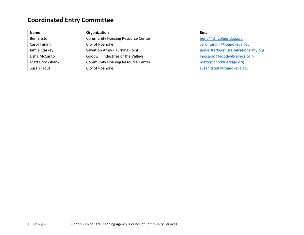### **Coordinated Entry Committee**

| <b>Name</b>            | Organization                             | Email                               |
|------------------------|------------------------------------------|-------------------------------------|
| <b>Ben Bristoll</b>    | <b>Community Housing Resource Center</b> | benb@chrcblueridge.org              |
| Carol Tuning           | City of Roanoke                          | carol.tuning@roanokeva.gov          |
| Jamie Starkey          | Salvation Army - Turning Point           | jamie.starkey@uss.salvationarmy.org |
| Lisha McCargo          | Goodwill Industries of the Valleys       | Imccargo@goodwillvalleys.com        |
| <b>Matt Crookshank</b> | <b>Community Housing Resource Center</b> | mattc@chrcblueridge.org             |
| Susan Trout            | City of Roanoke                          | susan.trout@roanokeva.gov           |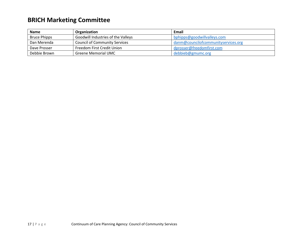## **BRICH Marketing Committee**

| <b>Name</b>         | Organization                         | Email                               |
|---------------------|--------------------------------------|-------------------------------------|
| <b>Bruce Phipps</b> | Goodwill Industries of the Valleys   | bphipps@goodwillvalleys.com         |
| Dan Merenda         | <b>Council of Community Services</b> | danm@councilofcommunityservices.org |
| Dave Prosser        | Freedom First Credit Union           | dprosser@freedomfirst.com           |
| Debbie Brown        | <b>Greene Memorial UMC</b>           | debbieb@gmumc.org                   |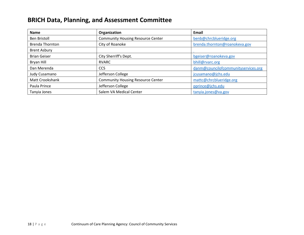#### **BRICH Data, Planning, and Assessment Committee**

| <b>Name</b>            | Organization                             | Email                               |
|------------------------|------------------------------------------|-------------------------------------|
| <b>Ben Bristoll</b>    | <b>Community Housing Resource Center</b> | benb@chrcblueridge.org              |
| <b>Brenda Thornton</b> | City of Roanoke                          | brenda.thornton@roanokeva.gov       |
| <b>Brent Asbury</b>    |                                          |                                     |
| <b>Brian Geiser</b>    | City Sherriff's Dept.                    | bgeiser@roanokeva.gov               |
| Bryan Hill             | <b>RVARC</b>                             | bhill@rvarc.org                     |
| Dan Merenda            | <b>CCS</b>                               | danm@councilofcommunityservices.org |
| Judy Cusamano          | Jefferson College                        | jcusamano@jchs.edu                  |
| Matt Crookshank        | <b>Community Housing Resource Center</b> | mattc@chrcblueridge.org             |
| Paula Prince           | Jefferson College                        | pprince@jchs.edu                    |
| Tanyia Jones           | Salem VA Medical Center                  | tanyia.jones@va.gov                 |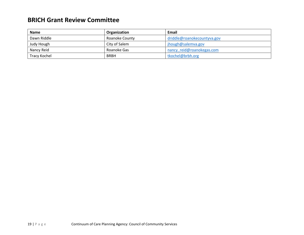#### **BRICH Grant Review Committee**

| <b>Name</b>  | Organization   | Email                       |
|--------------|----------------|-----------------------------|
| Dawn Riddle  | Roanoke County | driddle@roanokecountyva.gov |
| Judy Hough   | City of Salem  | jhough@salemva.gov          |
| Nancy Reid   | Roanoke Gas    | nancy reid@roanokegas.com   |
| Tracy Kochel | <b>BRBH</b>    | tkochel@brbh.org            |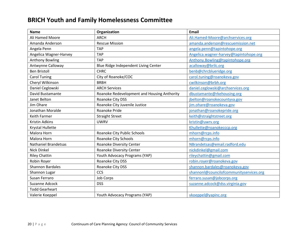#### **BRICH Youth and Family Homelessness Committee**

| <b>Name</b>             | Organization                                | Email                                   |
|-------------------------|---------------------------------------------|-----------------------------------------|
| Ali Hamed Moore         | <b>ARCH</b>                                 | Ali.Hamed-Moore@archservices.org        |
| Amanda Anderson         | <b>Rescue Mission</b>                       | amanda.anderson@rescuemission.net       |
| Angela Penn             | <b>TAP</b>                                  | angela.penn@tapintohope.org             |
| Angelica Wagner-Harvey  | <b>TAP</b>                                  | Angelica.wagner-harvey@tapintohope.org  |
| <b>Anthony Bowling</b>  | <b>TAP</b>                                  | Anthony.Bowling@tapintohope.org         |
| Antwynne Calloway       | Blue Ridge Independent Living Center        | acalloway@brilc.org                     |
| <b>Ben Bristoll</b>     | <b>CHRC</b>                                 | benb@chrcblueridge.org                  |
| <b>Carol Tuning</b>     | City of Roanoke/COC                         | carol.tuning@roanokeva.gov              |
| Cheryl Wilkinson        | <b>BRBH</b>                                 | cwilkinson@brbh.org                     |
| Daniel Ceglowski        | <b>ARCH Services</b>                        | daniel.ceglowski@archservices.org       |
| David Bustamante        | Roanoke Redevelopment and Housing Anthority | dbustamante@rkehousing.org              |
| Janet Belton            | Roanoke City DSS                            | jbelton@roanokecountyva.gov             |
| Jim Ohare               | Roanoke City Juvenile Justice               | jim.ohare@roanokeva.gov                 |
| Jonathan Moralde        | Roanoke Pride                               | jonathan@roanokepride.org               |
| <b>Keith Farmer</b>     | <b>Straight Street</b>                      | keith@straightstreet.org                |
| <b>Kristin Adkins</b>   | <b>UWRV</b>                                 | kristin@uwrv.org                        |
| Krystal Hullette        |                                             | Khullette@roanokecccp.org               |
| Malora Horn             | Roanoke City Public Schools                 | mhorn@rcps.info                         |
| Malora Horn             | Roanoke City Schools                        | mhorn@rcps.info                         |
| Nathaniel Brandetsas    | Roanoke Diversity Center                    | NBrandetsas@email.radford.edu           |
| <b>Nick Dinkel</b>      | Roanoke Diversity Center                    | nickdinkel@gmail.com                    |
| <b>Riley Chattin</b>    | Youth Advocacy Programs (YAP)               | rileychattin@gmail.com                  |
| Robin Royer             | Roanoke City DSS                            | robin.royer@roanokeva.gov               |
| <b>Shannon Bardales</b> | Roanoke City DSS                            | shannon.bardales@roanokeva.gov          |
| Shannon Lugar           | CCS                                         | shannonl@councilofcommunityservices.org |
| Susan Ferraro           | <b>Job Corps</b>                            | ferraro.susan@jobcorps.org              |
| <b>Suzanne Adcock</b>   | <b>DSS</b>                                  | suzanne.adcock@dss.virginia.gov         |
| <b>Todd Gearheart</b>   |                                             |                                         |
| Valerie Koeppel         | Youth Advocacy Programs (YAP)               | vkoeppel@yapinc.org                     |